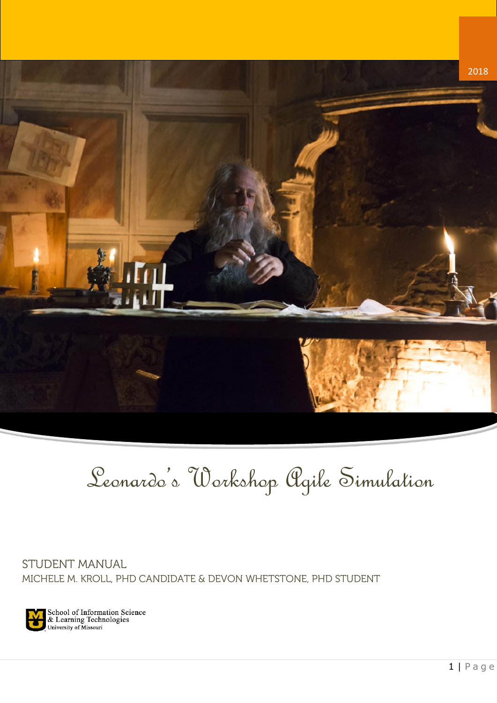

# Leonardo's Workshop Agile Simulation

STUDENT MANUAL MICHELE M. KROLL, PHD CANDIDATE & DEVON WHETSTONE, PHD STUDENT

School of Information Science<br>& Learning Technologies<br>University of Missouri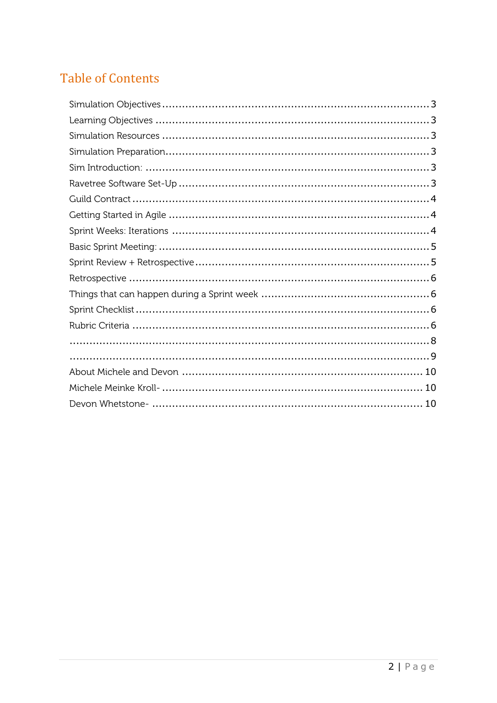## **Table of Contents**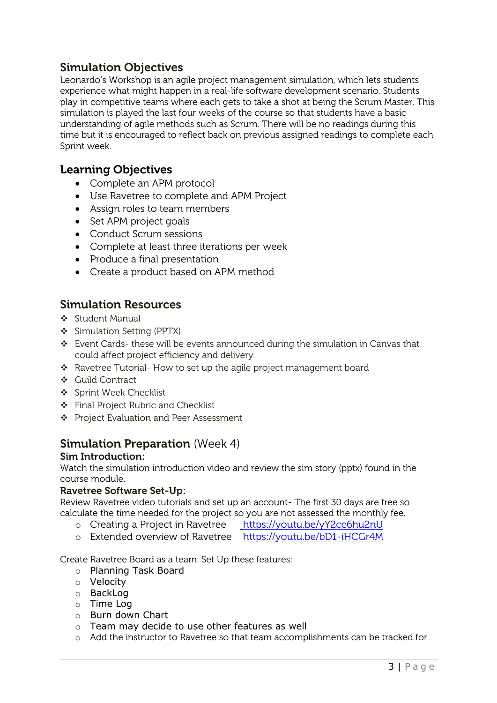### <span id="page-2-0"></span>**Simulation Objectives**

Leonardo's Workshop is an agile project management simulation, which lets students experience what might happen in a real-life software development scenario. Students play in competitive teams where each gets to take a shot at being the Scrum Master. This simulation is played the last four weeks of the course so that students have a basic understanding of agile methods such as Scrum. There will be no readings during this time but it is encouraged to reflect back on previous assigned readings to complete each Sprint week.

#### <span id="page-2-1"></span>**Learning Objectives**

- Complete an APM protocol
- Use Ravetree to complete and APM Project
- Assign roles to team members
- Set APM project goals
- Conduct Scrum sessions
- Complete at least three iterations per week
- Produce a final presentation
- Create a product based on APM method

#### <span id="page-2-2"></span>**Simulation Resources**

- Student Manual
- Simulation Setting (PPTX)
- Event Cards- these will be events announced during the simulation in Canvas that could affect project efficiency and delivery
- \* Ravetree Tutorial- How to set up the agile project management board
- Guild Contract
- ❖ Sprint Week Checklist
- ❖ Final Project Rubric and Checklist
- ❖ Project Evaluation and Peer Assessment

#### <span id="page-2-3"></span>**Simulation Preparation** (Week 4)

#### <span id="page-2-4"></span>**Sim Introduction:**

Watch the simulation introduction video and review the sim story (pptx) found in the course module.

#### <span id="page-2-5"></span>**Ravetree Software Set-Up:**

Review Ravetree video tutorials and set up an account- The first 30 days are free so calculate the time needed for the project so you are not assessed the monthly fee.

- o Creating a Project in Ravetree <https://youtu.be/yY2cc6hu2nU>
- o Extended overview of Ravetree <https://youtu.be/bD1-iHCGr4M>

Create Ravetree Board as a team. Set Up these features:

- o Planning Task Board
- o Velocity
- o BackLog
- o Time Log
- o Burn down Chart
- o Team may decide to use other features as well
- o Add the instructor to Ravetree so that team accomplishments can be tracked for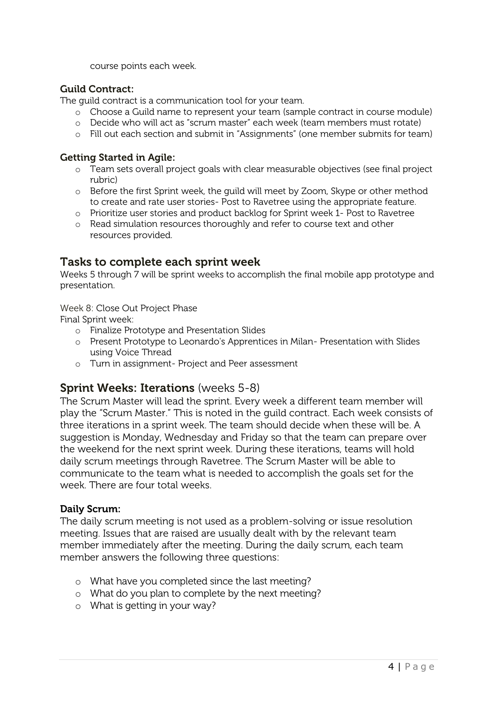course points each week.

#### <span id="page-3-0"></span>**Guild Contract:**

The guild contract is a communication tool for your team.

- o Choose a Guild name to represent your team (sample contract in course module)
- o Decide who will act as "scrum master" each week (team members must rotate)
- o Fill out each section and submit in "Assignments" (one member submits for team)

#### <span id="page-3-1"></span>**Getting Started in Agile:**

- o Team sets overall project goals with clear measurable objectives (see final project rubric)
- o Before the first Sprint week, the guild will meet by Zoom, Skype or other method to create and rate user stories- Post to Ravetree using the appropriate feature.
- o Prioritize user stories and product backlog for Sprint week 1- Post to Ravetree
- o Read simulation resources thoroughly and refer to course text and other resources provided.

#### **Tasks to complete each sprint week**

Weeks 5 through 7 will be sprint weeks to accomplish the final mobile app prototype and presentation.

Week 8: Close Out Project Phase

Final Sprint week:

- o Finalize Prototype and Presentation Slides
- o Present Prototype to Leonardo's Apprentices in Milan- Presentation with Slides using Voice Thread
- o Turn in assignment- Project and Peer assessment

#### <span id="page-3-2"></span>**Sprint Weeks: Iterations** (weeks 5-8)

The Scrum Master will lead the sprint. Every week a different team member will play the "Scrum Master." This is noted in the guild contract. Each week consists of three iterations in a sprint week. The team should decide when these will be. A suggestion is Monday, Wednesday and Friday so that the team can prepare over the weekend for the next sprint week. During these iterations, teams will hold daily scrum meetings through Ravetree. The Scrum Master will be able to communicate to the team what is needed to accomplish the goals set for the week. There are four total weeks.

#### **Daily Scrum:**

The daily scrum meeting is not used as a problem-solving or issue resolution meeting. Issues that are raised are usually dealt with by the relevant team member immediately after the meeting. During the daily scrum, each team member answers the following three questions:

- o What have you completed since the last meeting?
- o What do you plan to complete by the next meeting?
- o What is getting in your way?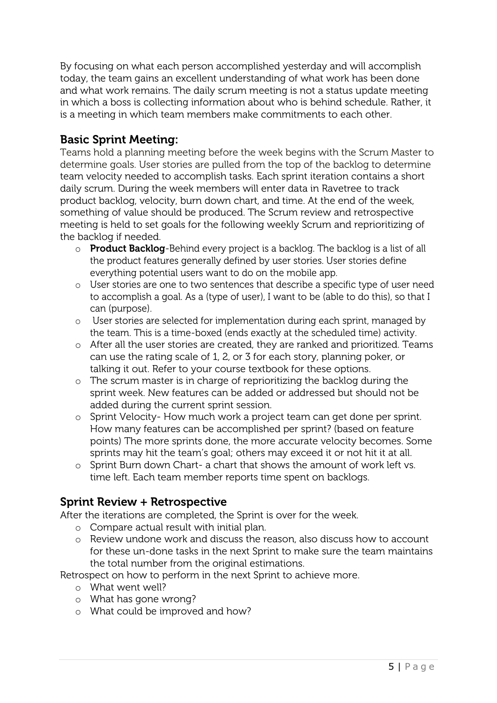By focusing on what each person accomplished yesterday and will accomplish today, the team gains an excellent understanding of what work has been done and what work remains. The daily scrum meeting is not a status update meeting in which a boss is collecting information about who is behind schedule. Rather, it is a meeting in which team members make commitments to each other.

#### <span id="page-4-0"></span>**Basic Sprint Meeting:**

Teams hold a planning meeting before the week begins with the Scrum Master to determine goals. User stories are pulled from the top of the backlog to determine team velocity needed to accomplish tasks. Each sprint iteration contains a short daily scrum. During the week members will enter data in Ravetree to track product backlog, velocity, burn down chart, and time. At the end of the week, something of value should be produced. The Scrum review and retrospective meeting is held to set goals for the following weekly Scrum and reprioritizing of the backlog if needed.

- o **Product Backlog**-Behind every project is a backlog. The backlog is a list of all the product features generally defined by user stories. User stories define everything potential users want to do on the mobile app.
- o User stories are one to two sentences that describe a specific type of user need to accomplish a goal. As a (type of user), I want to be (able to do this), so that I can (purpose).
- o User stories are selected for implementation during each sprint, managed by the team. This is a time-boxed (ends exactly at the scheduled time) activity.
- o After all the user stories are created, they are ranked and prioritized. Teams can use the rating scale of 1, 2, or 3 for each story, planning poker, or talking it out. Refer to your course textbook for these options.
- o The scrum master is in charge of reprioritizing the backlog during the sprint week. New features can be added or addressed but should not be added during the current sprint session.
- o Sprint Velocity- How much work a project team can get done per sprint. How many features can be accomplished per sprint? (based on feature points) The more sprints done, the more accurate velocity becomes. Some sprints may hit the team's goal; others may exceed it or not hit it at all.
- o Sprint Burn down Chart- a chart that shows the amount of work left vs. time left. Each team member reports time spent on backlogs.

#### <span id="page-4-1"></span>**Sprint Review + Retrospective**

After the iterations are completed, the Sprint is over for the week.

- o Compare actual result with initial plan.
- o Review undone work and discuss the reason, also discuss how to account for these un-done tasks in the next Sprint to make sure the team maintains the total number from the original estimations.

Retrospect on how to perform in the next Sprint to achieve more.

- o What went well?
- o What has gone wrong?
- o What could be improved and how?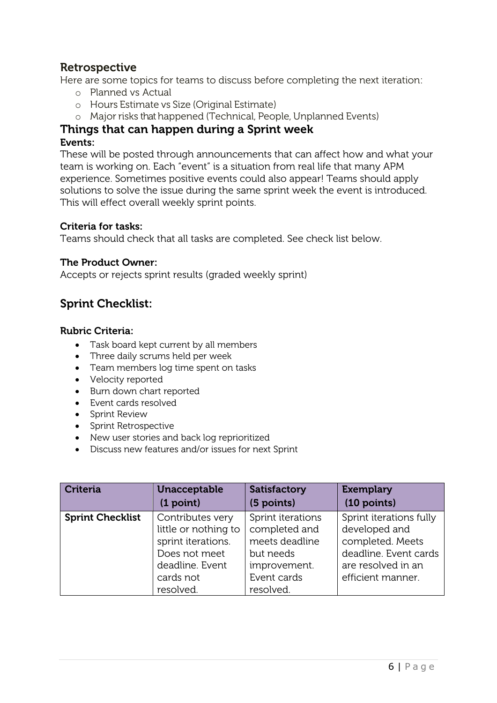### <span id="page-5-0"></span>**Retrospective**

Here are some topics for teams to discuss before completing the next iteration:

- o Planned vs Actual
- o Hours Estimate vs Size (Original Estimate)
- o Major risks that happened (Technical, People, Unplanned Events)

## <span id="page-5-1"></span>**Things that can happen during a Sprint week**

#### **Events:**

These will be posted through announcements that can affect how and what your team is working on. Each "event" is a situation from real life that many APM experience. Sometimes positive events could also appear! Teams should apply solutions to solve the issue during the same sprint week the event is introduced. This will effect overall weekly sprint points.

#### **Criteria for tasks:**

Teams should check that all tasks are completed. See check list below.

#### **The Product Owner:**

Accepts or rejects sprint results (graded weekly sprint)

### <span id="page-5-2"></span>**Sprint Checklist:**

#### <span id="page-5-3"></span>**Rubric Criteria:**

- Task board kept current by all members
- Three daily scrums held per week
- Team members log time spent on tasks
- Velocity reported
- Burn down chart reported
- Event cards resolved
- Sprint Review
- Sprint Retrospective
- New user stories and back log reprioritized
- Discuss new features and/or issues for next Sprint

| <b>Criteria</b>         | Unacceptable         | <b>Satisfactory</b> | <b>Exemplary</b>        |
|-------------------------|----------------------|---------------------|-------------------------|
|                         | (1 point)            | (5 points)          | $(10$ points)           |
| <b>Sprint Checklist</b> | Contributes very     | Sprint iterations   | Sprint iterations fully |
|                         | little or nothing to | completed and       | developed and           |
|                         | sprint iterations.   | meets deadline      | completed. Meets        |
|                         | Does not meet        | but needs           | deadline. Event cards   |
|                         | deadline. Event      | improvement.        | are resolved in an      |
|                         | cards not            | Event cards         | efficient manner.       |
|                         | resolved.            | resolved.           |                         |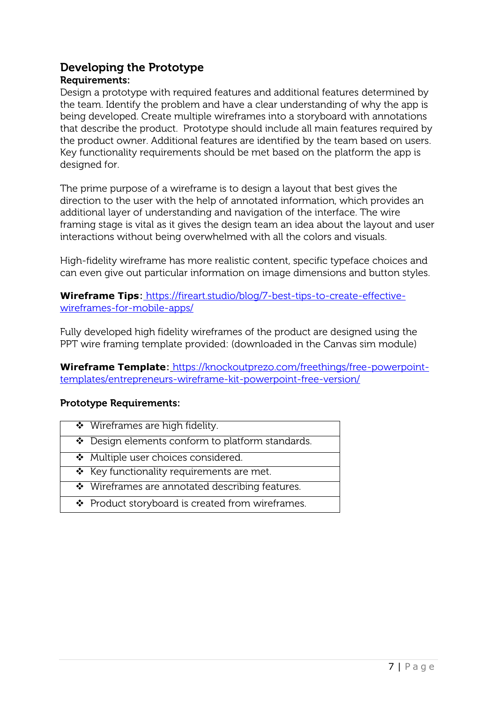## **Developing the Prototype**

#### **Requirements:**

Design a prototype with required features and additional features determined by the team. Identify the problem and have a clear understanding of why the app is being developed. Create multiple wireframes into a storyboard with annotations that describe the product. Prototype should include all main features required by the product owner. Additional features are identified by the team based on users. Key functionality requirements should be met based on the platform the app is designed for.

The prime purpose of a [wireframe](https://think360studio.com/tips-why-you-should-sketch-before-making-wireframes/) is to design a layout that best gives the direction to the user with the help of annotated information, which provides an additional layer of understanding and navigation of the interface. The wire framing stage is vital as it gives the design team an idea about the layout and user interactions without being overwhelmed with all the colors and visuals.

High-fidelity wireframe has more realistic content, specific typeface choices and can even give out particular information on image dimensions and button styles.

**Wireframe Tips:** [https://fireart.studio/blog/7-best-tips-to-create-effective](https://fireart.studio/blog/7-best-tips-to-create-effective-wireframes-for-mobile-apps/)[wireframes-for-mobile-apps/](https://fireart.studio/blog/7-best-tips-to-create-effective-wireframes-for-mobile-apps/)

Fully developed high fidelity wireframes of the product are designed using the PPT wire framing template provided: (downloaded in the Canvas sim module)

**Wireframe Template**: [https://knockoutprezo.com/freethings/free-powerpoint](https://knockoutprezo.com/freethings/free-powerpoint-templates/entrepreneurs-wireframe-kit-powerpoint-free-version/)[templates/entrepreneurs-wireframe-kit-powerpoint-free-version/](https://knockoutprezo.com/freethings/free-powerpoint-templates/entrepreneurs-wireframe-kit-powerpoint-free-version/)

#### **Prototype Requirements:**

| ❖ Wireframes are high fidelity.                |
|------------------------------------------------|
| Design elements conform to platform standards. |

- ◆ Multiple user choices considered.
- $\div$  Key functionality requirements are met.
- Wireframes are annotated describing features.
- ❖ Product storyboard is created from wireframes.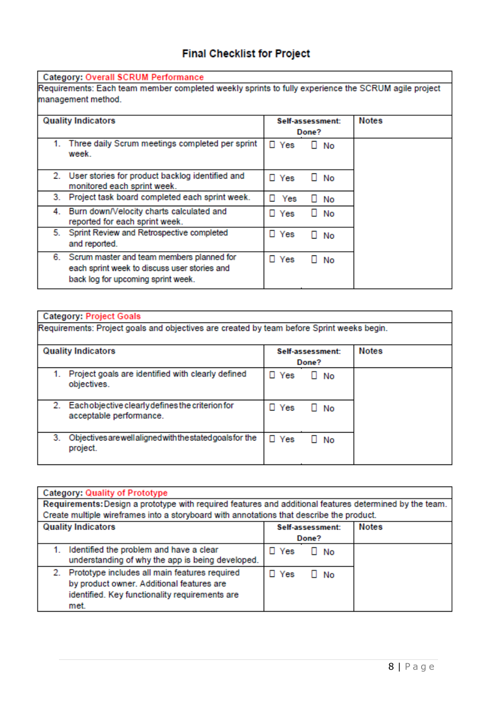## **Final Checklist for Project**

<span id="page-7-0"></span>

| <b>Quality Indicators</b> |                                                                                                                                    |               | Self-assessment:<br>Done? | <b>Notes</b> |
|---------------------------|------------------------------------------------------------------------------------------------------------------------------------|---------------|---------------------------|--------------|
|                           | Three daily Scrum meetings completed per sprint<br>week.                                                                           | $\square$ Yes | $\Box$ No                 |              |
|                           | 2. User stories for product backlog identified and<br>monitored each sprint week.                                                  | $\square$ Yes | No<br>ш                   |              |
| 3.                        | Project task board completed each sprint week.                                                                                     | п.<br>Yes     | $\Box$ No                 |              |
|                           | 4. Burn down/Velocity charts calculated and<br>reported for each sprint week.                                                      | $\square$ Yes | $\Box$ No                 |              |
| 5.                        | Sprint Review and Retrospective completed<br>and reported.                                                                         | $\square$ Yes | No<br>п                   |              |
|                           | 6. Scrum master and team members planned for<br>each sprint week to discuss user stories and<br>back log for upcoming sprint week. | $\square$ Yes | No<br>ш                   |              |

|    | Requirements: Project goals and objectives are created by team before Sprint weeks begin. |               |                           |              |
|----|-------------------------------------------------------------------------------------------|---------------|---------------------------|--------------|
|    | <b>Quality Indicators</b>                                                                 |               | Self-assessment:<br>Done? | <b>Notes</b> |
|    | Project goals are identified with clearly defined<br>objectives.                          | $\Box$ Yes    | $\Box$ No                 |              |
|    | 2. Each objective clearly defines the criterion for<br>acceptable performance.            | $\square$ Yes | $\Box$ No                 |              |
| 3. | Objectives are well aligned with the stated goals for the<br>project.                     | $\square$ Yes | $\Box$ No                 |              |

| <b>Category: Quality of Prototype</b>                                                                                                                   |                         |              |  |  |
|---------------------------------------------------------------------------------------------------------------------------------------------------------|-------------------------|--------------|--|--|
| Requirements: Design a prototype with required features and additional features determined by the team.                                                 |                         |              |  |  |
| Create multiple wireframes into a storyboard with annotations that describe the product.                                                                |                         |              |  |  |
| <b>Quality Indicators</b><br>Self-assessment:                                                                                                           |                         | <b>Notes</b> |  |  |
|                                                                                                                                                         | Done?                   |              |  |  |
| Identified the problem and have a clear<br>1.<br>understanding of why the app is being developed.                                                       | $\Box$ Yes<br>$\Box$ No |              |  |  |
| 2. Prototype includes all main features required<br>by product owner. Additional features are<br>identified. Key functionality requirements are<br>met. | $\Box$ Yes<br>$\Box$ No |              |  |  |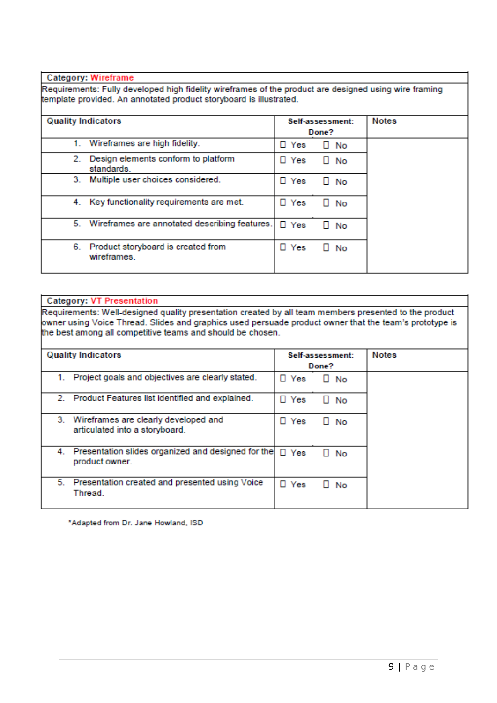<span id="page-8-0"></span>**Category: Wireframe** 

Requirements: Fully developed high fidelity wireframes of the product are designed using wire framing template provided. An annotated product storyboard is illustrated.

#### **Quality Indicators** Self-assessment: **Notes** Done? 1. Wireframes are high fidelity. D Yes  $\Box$  No 2. Design elements conform to platform D Yes  $\Box$  No standards. 3. Multiple user choices considered.  $\Box$  Yes  $\Box$  No 4. Key functionality requirements are met. D Yes  $\square$  No 5. Wireframes are annotated describing features.  $\square$  Yes  $\Box$  No 6. Product storyboard is created from D Yes  $\Box$  No wireframes.

#### **Category: VT Presentation**

Requirements: Well-designed quality presentation created by all team members presented to the product owner using Voice Thread. Slides and graphics used persuade product owner that the team's prototype is the best among all competitive teams and should be chosen.

| <b>Quality Indicators</b> |                                                                           |               | Self-assessment:<br>Done? | <b>Notes</b> |
|---------------------------|---------------------------------------------------------------------------|---------------|---------------------------|--------------|
| 1.                        | Project goals and objectives are clearly stated.                          | $\Box$ Yes    | $\Box$ No                 |              |
|                           | 2. Product Features list identified and explained.                        | Yes<br>п.     | No<br>ш                   |              |
|                           | 3. Wireframes are clearly developed and<br>articulated into a storyboard. | $\Box$ Yes    | No<br>ш                   |              |
|                           | 4. Presentation slides organized and designed for the<br>product owner.   | $\square$ Yes | No                        |              |
|                           | 5. Presentation created and presented using Voice<br>Thread.              | $\square$ Yes | No                        |              |

\*Adapted from Dr. Jane Howland, ISD